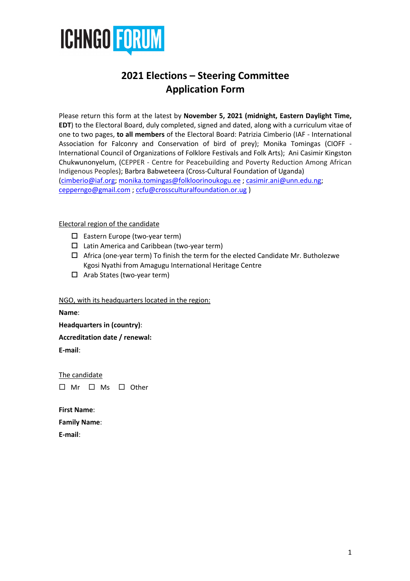

# **2021 Elections – Steering Committee Application Form**

Please return this form at the latest by **November 5, 2021 (midnight, Eastern Daylight Time, EDT**) to the Electoral Board, duly completed, signed and dated, along with a curriculum vitae of one to two pages, **to all members** of the Electoral Board: Patrizia Cimberio (IAF - International Association for Falconry and Conservation of bird of prey); Monika Tomingas (CIOFF - International Council of Organizations of Folklore Festivals and Folk Arts); Ani Casimir Kingston Chukwunonyelum, (CEPPER - Centre for Peacebuilding and Poverty Reduction Among African Indigenous Peoples); Barbra Babweteera (Cross-Cultural Foundation of Uganda) (cimberio@iaf.org; monika.tomingas@folkloorinoukogu.ee ; casimir.ani@unn.edu.ng; cepperngo@gmail.com ; ccfu@crossculturalfoundation.or.ug )

## Electoral region of the candidate

- $\square$  Eastern Europe (two-year term)
- $\square$  Latin America and Caribbean (two-year term)
- $\Box$  Africa (one-year term) To finish the term for the elected Candidate Mr. Butholezwe Kgosi Nyathi from Amagugu International Heritage Centre
- $\Box$  Arab States (two-year term)

#### NGO, with its headquarters located in the region:

**Name**:

**Headquarters in (country)**:

**Accreditation date / renewal:**

**E-mail**:

The candidate  $\square$  Mr  $\square$  Ms  $\square$  Other

**First Name**: **Family Name**:

**E-mail**: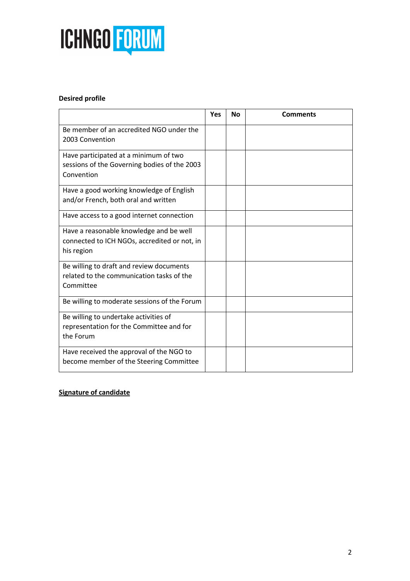

## **Desired profile**

|                                                                                                       | <b>Yes</b> | <b>No</b> | <b>Comments</b> |
|-------------------------------------------------------------------------------------------------------|------------|-----------|-----------------|
| Be member of an accredited NGO under the<br>2003 Convention                                           |            |           |                 |
| Have participated at a minimum of two<br>sessions of the Governing bodies of the 2003<br>Convention   |            |           |                 |
| Have a good working knowledge of English<br>and/or French, both oral and written                      |            |           |                 |
| Have access to a good internet connection                                                             |            |           |                 |
| Have a reasonable knowledge and be well<br>connected to ICH NGOs, accredited or not, in<br>his region |            |           |                 |
| Be willing to draft and review documents<br>related to the communication tasks of the<br>Committee    |            |           |                 |
| Be willing to moderate sessions of the Forum                                                          |            |           |                 |
| Be willing to undertake activities of<br>representation for the Committee and for<br>the Forum        |            |           |                 |
| Have received the approval of the NGO to<br>become member of the Steering Committee                   |            |           |                 |

## **Signature of candidate**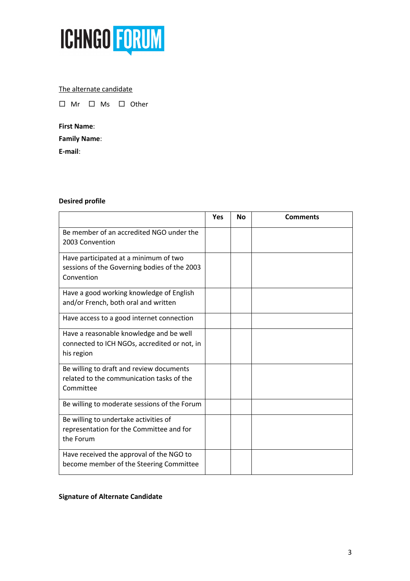

## The alternate candidate

□ Mr □ Ms □ Other

## **First Name**:

**Family Name**:

**E-mail**:

## **Desired profile**

|                                                                                                       | Yes | <b>No</b> | <b>Comments</b> |
|-------------------------------------------------------------------------------------------------------|-----|-----------|-----------------|
| Be member of an accredited NGO under the<br>2003 Convention                                           |     |           |                 |
| Have participated at a minimum of two<br>sessions of the Governing bodies of the 2003<br>Convention   |     |           |                 |
| Have a good working knowledge of English<br>and/or French, both oral and written                      |     |           |                 |
| Have access to a good internet connection                                                             |     |           |                 |
| Have a reasonable knowledge and be well<br>connected to ICH NGOs, accredited or not, in<br>his region |     |           |                 |
| Be willing to draft and review documents<br>related to the communication tasks of the<br>Committee    |     |           |                 |
| Be willing to moderate sessions of the Forum                                                          |     |           |                 |
| Be willing to undertake activities of<br>representation for the Committee and for<br>the Forum        |     |           |                 |
| Have received the approval of the NGO to<br>become member of the Steering Committee                   |     |           |                 |

## **Signature of Alternate Candidate**